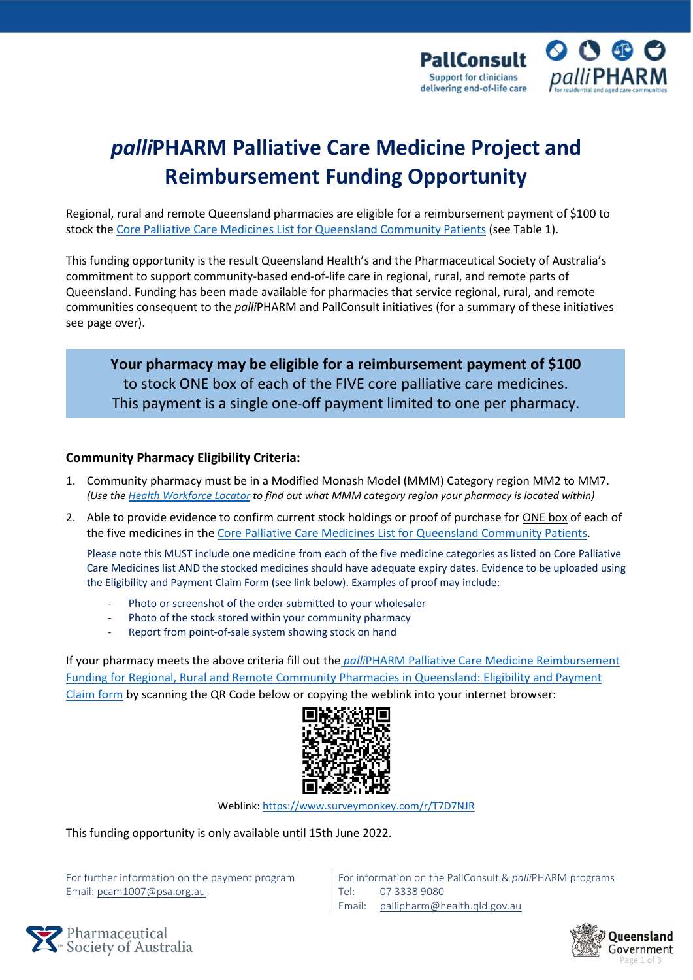

# *palli***PHARM Palliative Care Medicine Project and Reimbursement Funding Opportunity**

Regional, rural and remote Queensland pharmacies are eligible for a reimbursement payment of \$100 to stock the [Core Palliative Care Medicines List for Queensland Community Patients](https://www.caresearch.com.au/portals/10/Documents/QLD-Core-Meds-List-Factsheet-WEB.pdf) (see Table 1).

This funding opportunity is the result Queensland Health's and the Pharmaceutical Society of Australia's commitment to support community-based end-of-life care in regional, rural, and remote parts of Queensland. Funding has been made available for pharmacies that service regional, rural, and remote communities consequent to the *palli*PHARM and PallConsult initiatives (for a summary of these initiatives see page over).

**Your pharmacy may be eligible for a reimbursement payment of \$100** to stock ONE box of each of the FIVE core palliative care medicines. This payment is a single one-off payment limited to one per pharmacy.

#### **Community Pharmacy Eligibility Criteria:**

- 1. Community pharmacy must be in a Modified Monash Model (MMM) Category region MM2 to MM7. *(Use th[e Health Workforce Locator](https://www.health.gov.au/resources/apps-and-tools/health-workforce-locator/health-workforce-locator) to find out what MMM category region your pharmacy is located within)*
- 2. Able to provide evidence to confirm current stock holdings or proof of purchase for ONE box of each of the five medicines in the [Core Palliative Care Medicines List for Queensland Community Patients.](https://www.caresearch.com.au/portals/10/Documents/QLD-Core-Meds-List-Factsheet-WEB.pdf)

Please note this MUST include one medicine from each of the five medicine categories as listed on Core Palliative Care Medicines list AND the stocked medicines should have adequate expiry dates. Evidence to be uploaded using the Eligibility and Payment Claim Form (see link below). Examples of proof may include:

- Photo or screenshot of the order submitted to your wholesaler
- Photo of the stock stored within your community pharmacy
- Report from point-of-sale system showing stock on hand

If your pharmacy meets the above criteria fill out the *palli*[PHARM Palliative Care Medicine Reimbursement](https://www.surveymonkey.com/r/T7D7NJR)  [Funding for Regional, Rural and Remote Community Pharmacies in Queensland: Eligibility and Payment](https://www.surveymonkey.com/r/T7D7NJR)  [Claim form](https://www.surveymonkey.com/r/T7D7NJR) by scanning the QR Code below or copying the weblink into your internet browser:



Weblink:<https://www.surveymonkey.com/r/T7D7NJR>

This funding opportunity is only available until 15th June 2022.

For further information on the payment program Email[: pcam1007@psa.org.au](mailto:pcam1007@psa.org.au)

For information on the PallConsult & *palli*PHARM programs Tel: 07 3338 9080 Email: [pallipharm@health.qld.gov.au](mailto:pallipharm@health.qld.gov.au)



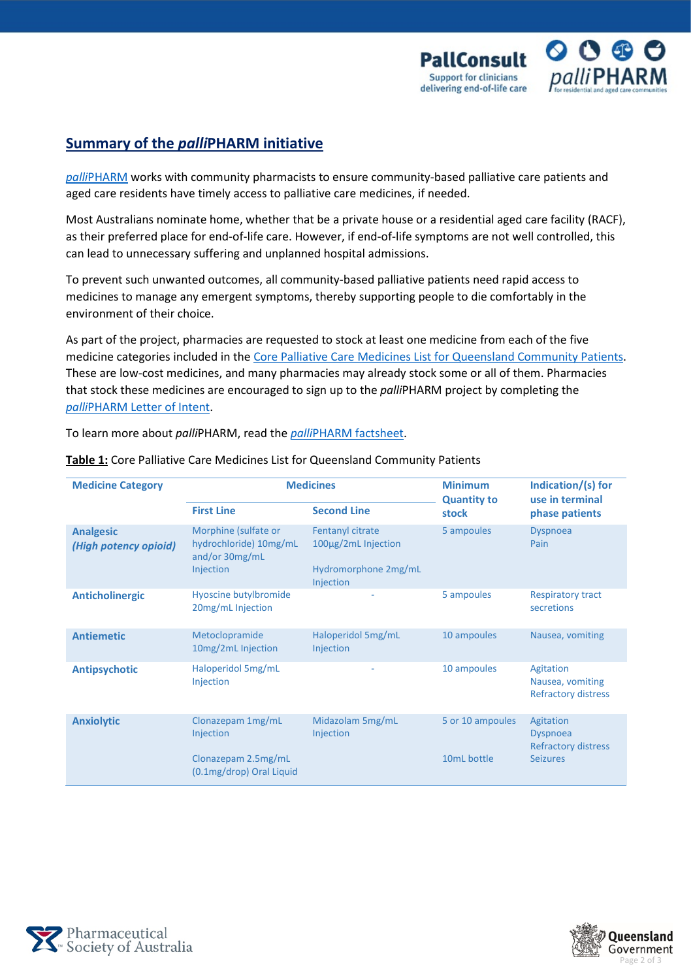

### **Summary of the** *palli***PHARM initiative**

*palli*[PHARM](https://www.psa.org.au/pallipharm/) works with community pharmacists to ensure community-based palliative care patients and aged care residents have timely access to palliative care medicines, if needed.

Most Australians nominate home, whether that be a private house or a residential aged care facility (RACF), as their preferred place for end-of-life care. However, if end-of-life symptoms are not well controlled, this can lead to unnecessary suffering and unplanned hospital admissions.

To prevent such unwanted outcomes, all community-based palliative patients need rapid access to medicines to manage any emergent symptoms, thereby supporting people to die comfortably in the environment of their choice.

As part of the project, pharmacies are requested to stock at least one medicine from each of the five medicine categories included in the [Core Palliative Care Medicines List for Queensland Community Patients.](https://www.caresearch.com.au/portals/10/Documents/QLD-Core-Meds-List-Factsheet-WEB.pdf) These are low-cost medicines, and many pharmacies may already stock some or all of them. Pharmacies that stock these medicines are encouraged to sign up to the *palli*PHARM project by completing the *palli*[PHARM Letter of Intent.](https://www.surveymonkey.com/r/7K5ZD9C)

To learn more about *palli*PHARM, read the *palli*[PHARM factsheet.](https://www.caresearch.com.au/portals/10/Documents/palliPHARM-Info-Factsheet-WEB.pdf)

| <b>Medicine Category</b>                  | <b>Medicines</b>                                                              |                                                                              | <b>Minimum</b><br><b>Quantity to</b> | Indication/(s) for<br>use in terminal                       |
|-------------------------------------------|-------------------------------------------------------------------------------|------------------------------------------------------------------------------|--------------------------------------|-------------------------------------------------------------|
|                                           | <b>First Line</b>                                                             | <b>Second Line</b>                                                           | stock                                | phase patients                                              |
| <b>Analgesic</b><br>(High potency opioid) | Morphine (sulfate or<br>hydrochloride) 10mg/mL<br>and/or 30mg/mL<br>Injection | Fentanyl citrate<br>100µg/2mL Injection<br>Hydromorphone 2mg/mL<br>Injection | 5 ampoules                           | <b>Dyspnoea</b><br>Pain                                     |
| <b>Anticholinergic</b>                    | Hyoscine butylbromide<br>20mg/mL Injection                                    |                                                                              | 5 ampoules                           | <b>Respiratory tract</b><br>secretions                      |
| <b>Antiemetic</b>                         | Metoclopramide<br>10mg/2mL Injection                                          | Haloperidol 5mg/mL<br>Injection                                              | 10 ampoules                          | Nausea, vomiting                                            |
| <b>Antipsychotic</b>                      | Haloperidol 5mg/mL<br>Injection                                               | ٠                                                                            | 10 ampoules                          | Agitation<br>Nausea, vomiting<br><b>Refractory distress</b> |
| <b>Anxiolytic</b>                         | Clonazepam 1mg/mL<br>Injection                                                | Midazolam 5mg/mL<br>Injection                                                | 5 or 10 ampoules                     | Agitation<br><b>Dyspnoea</b><br><b>Refractory distress</b>  |
|                                           | Clonazepam 2.5mg/mL<br>(0.1mg/drop) Oral Liquid                               |                                                                              | 10mL bottle                          | <b>Seizures</b>                                             |

**Table 1:** Core Palliative Care Medicines List for Queensland Community Patients